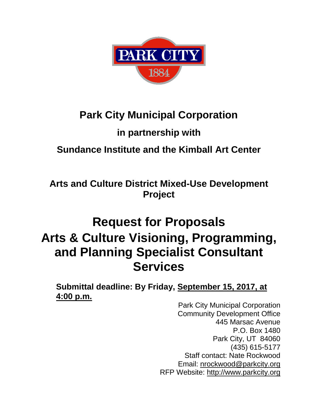

# **Park City Municipal Corporation**

# **in partnership with**

# **Sundance Institute and the Kimball Art Center**

**Arts and Culture District Mixed-Use Development Project**

# **Request for Proposals Arts & Culture Visioning, Programming, and Planning Specialist Consultant Services**

**Submittal deadline: By Friday, September 15, 2017, at 4:00 p.m.**

Park City Municipal Corporation Community Development Office 445 Marsac Avenue P.O. Box 1480 Park City, UT 84060 (435) 615-5177 Staff contact: Nate Rockwood Email: nrockwood@parkcity.org RFP Website: http://www.parkcity.org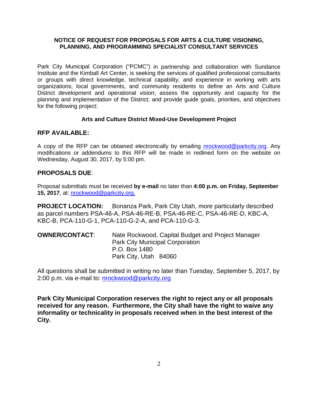#### **NOTICE OF REQUEST FOR PROPOSALS FOR ARTS & CULTURE VISIONING, PLANNING, AND PROGRAMMING SPECIALIST CONSULTANT SERVICES**

Park City Municipal Corporation ("PCMC") in partnership and collaboration with Sundance Institute and the Kimball Art Center, is seeking the services of qualified professional consultants or groups with direct knowledge, technical capability, and experience in working with arts organizations, local governments, and community residents to define an Arts and Culture District development and operational vision; assess the opportunity and capacity for the planning and implementation of the District; and provide guide goals, priorities, and objectives for the following project:

#### **Arts and Culture District Mixed-Use Development Project**

## **RFP AVAILABLE:**

A copy of the RFP can be obtained electronically by emailing [nrockwood@parkcity.org.](mailto:nrockwood@parkcity.org) Any modifications or addendums to this RFP will be made in redlined form on the website on Wednesday, August 30, 2017, by 5:00 pm.

## **PROPOSALS DUE**:

Proposal submittals must be received **by e-mail** no later than **4:00 p.m. on Friday, September 15, 2017**, at: [nrockwood@parkcity.org.](mailto:nrockwood@parkcity.org)

**PROJECT LOCATION:** Bonanza Park, Park City Utah, more particularly described as parcel numbers PSA-46-A, PSA-46-RE-B, PSA-46-RE-C, PSA-46-RE-D, KBC-A, KBC-B, PCA-110-G-1, PCA-110-G-2-A, and PCA-110-G-3.

**OWNER/CONTACT**: Nate Rockwood, Capital Budget and Project Manager Park City Municipal Corporation P.O. Box 1480 Park City, Utah 84060

All questions shall be submitted in writing no later than Tuesday, September 5, 2017, by 2:00 p.m. via e-mail to: [nrockwood@parkcity.org](mailto:nrockwood@parkcity.org)

**Park City Municipal Corporation reserves the right to reject any or all proposals received for any reason. Furthermore, the City shall have the right to waive any informality or technicality in proposals received when in the best interest of the City.**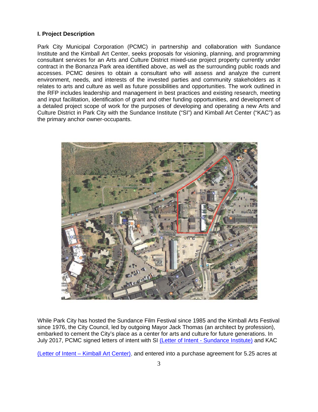#### **I. Project Description**

Park City Municipal Corporation (PCMC) in partnership and collaboration with Sundance Institute and the Kimball Art Center, seeks proposals for visioning, planning, and programming consultant services for an Arts and Culture District mixed-use project property currently under contract in the Bonanza Park area identified above, as well as the surrounding public roads and accesses. PCMC desires to obtain a consultant who will assess and analyze the current environment, needs, and interests of the invested parties and community stakeholders as it relates to arts and culture as well as future possibilities and opportunities. The work outlined in the RFP includes leadership and management in best practices and existing research, meeting and input facilitation, identification of grant and other funding opportunities, and development of a detailed project scope of work for the purposes of developing and operating a new Arts and Culture District in Park City with the Sundance Institute ("SI") and Kimball Art Center ("KAC") as the primary anchor owner-occupants.



While Park City has hosted the Sundance Film Festival since 1985 and the Kimball Arts Festival since 1976, the City Council, led by outgoing Mayor Jack Thomas (an architect by profession), embarked to cement the City's place as a center for arts and culture for future generations. In July 2017, PCMC signed letters of intent with SI (Letter of Intent - [Sundance Institute\)](https://10.2.0.20/ccmadmin/index.jsphttp:/www.parkcity.org/Home/ShowDocument?id=44455) and KAC

(Letter of Intent – [Kimball Art Center\),](https://10.2.0.20/ccmadmin/index.jspwww.parkcity.org/Home/ShowDocument?id=44453) and entered into a purchase agreement for 5.25 acres at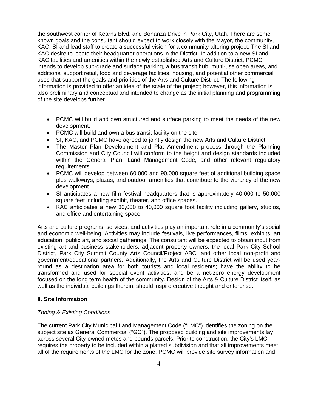the southwest corner of Kearns Blvd. and Bonanza Drive in Park City, Utah. There are some known goals and the consultant should expect to work closely with the Mayor, the community, KAC, SI and lead staff to create a successful vision for a community altering project. The SI and KAC desire to locate their headquarter operations in the District. In addition to a new SI and KAC facilities and amenities within the newly established Arts and Culture District, PCMC intends to develop sub-grade and surface parking, a bus transit hub, multi-use open areas, and additional support retail, food and beverage facilities, housing, and potential other commercial uses that support the goals and priorities of the Arts and Culture District. The following information is provided to offer an idea of the scale of the project; however, this information is also preliminary and conceptual and intended to change as the initial planning and programming of the site develops further.

- PCMC will build and own structured and surface parking to meet the needs of the new development.
- PCMC will build and own a bus transit facility on the site.
- SI, KAC, and PCMC have agreed to jointly design the new Arts and Culture District.
- The Master Plan Development and Plat Amendment process through the Planning Commission and City Council will conform to the height and design standards included within the General Plan, Land Management Code, and other relevant regulatory requirements.
- PCMC will develop between 60,000 and 90,000 square feet of additional building space plus walkways, plazas, and outdoor amenities that contribute to the vibrancy of the new development.
- SI anticipates a new film festival headquarters that is approximately 40,000 to 50,000 square feet including exhibit, theater, and office spaces.
- KAC anticipates a new 30,000 to 40,000 square foot facility including gallery, studios, and office and entertaining space.

Arts and culture programs, services, and activities play an important role in a community's social and economic well-being. Activities may include festivals, live performances, films, exhibits, art education, public art, and social gatherings. The consultant will be expected to obtain input from existing art and business stakeholders, adjacent property owners, the local Park City School District, Park City Summit County Arts Council/Project ABC, and other local non-profit and government/educational partners. Additionally, the Arts and Culture District will be used yearround as a destination area for both tourists and local residents; have the ability to be transformed and used for special event activities, and be a net-zero energy development focused on the long term health of the community. Design of the Arts & Culture District itself, as well as the individual buildings therein, should inspire creative thought and enterprise.

#### **II. Site Information**

#### *Zoning & Existing Conditions*

The current Park City Municipal Land Management Code ("LMC") identifies the zoning on the subject site as General Commercial ("GC"). The proposed building and site improvements lay across several City-owned metes and bounds parcels. Prior to construction, the City's LMC requires the property to be included within a platted subdivision and that all improvements meet all of the requirements of the LMC for the zone. PCMC will provide site survey information and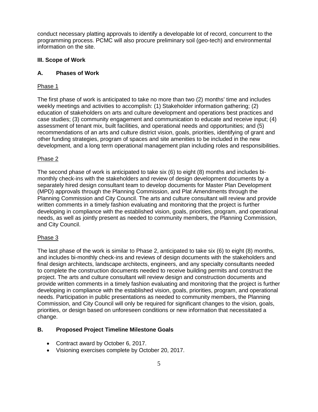conduct necessary platting approvals to identify a developable lot of record, concurrent to the programming process. PCMC will also procure preliminary soil (geo-tech) and environmental information on the site.

#### **III. Scope of Work**

#### **A. Phases of Work**

#### Phase 1

The first phase of work is anticipated to take no more than two (2) months' time and includes weekly meetings and activities to accomplish: (1) Stakeholder information gathering; (2) education of stakeholders on arts and culture development and operations best practices and case studies; (3) community engagement and communication to educate and receive input; (4) assessment of tenant mix, built facilities, and operational needs and opportunities; and (5) recommendations of an arts and culture district vision, goals, priorities, identifying of grant and other funding strategies, program of spaces and site amenities to be included in the new development, and a long term operational management plan including roles and responsibilities.

#### Phase 2

The second phase of work is anticipated to take six (6) to eight (8) months and includes bimonthly check-ins with the stakeholders and review of design development documents by a separately hired design consultant team to develop documents for Master Plan Development (MPD) approvals through the Planning Commission, and Plat Amendments through the Planning Commission and City Council. The arts and culture consultant will review and provide written comments in a timely fashion evaluating and monitoring that the project is further developing in compliance with the established vision, goals, priorities, program, and operational needs, as well as jointly present as needed to community members, the Planning Commission, and City Council.

#### Phase 3

The last phase of the work is similar to Phase 2, anticipated to take six (6) to eight (8) months, and includes bi-monthly check-ins and reviews of design documents with the stakeholders and final design architects, landscape architects, engineers, and any specialty consultants needed to complete the construction documents needed to receive building permits and construct the project. The arts and culture consultant will review design and construction documents and provide written comments in a timely fashion evaluating and monitoring that the project is further developing in compliance with the established vision, goals, priorities, program, and operational needs. Participation in public presentations as needed to community members, the Planning Commission, and City Council will only be required for significant changes to the vision, goals, priorities, or design based on unforeseen conditions or new information that necessitated a change.

#### **B. Proposed Project Timeline Milestone Goals**

- Contract award by October 6, 2017.
- Visioning exercises complete by October 20, 2017.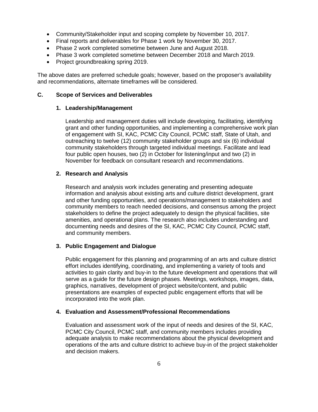- Community/Stakeholder input and scoping complete by November 10, 2017.
- Final reports and deliverables for Phase 1 work by November 30, 2017.
- Phase 2 work completed sometime between June and August 2018.
- Phase 3 work completed sometime between December 2018 and March 2019.
- Project groundbreaking spring 2019.

The above dates are preferred schedule goals; however, based on the proposer's availability and recommendations, alternate timeframes will be considered.

#### **C. Scope of Services and Deliverables**

#### **1. Leadership/Management**

Leadership and management duties will include developing, facilitating, identifying grant and other funding opportunities, and implementing a comprehensive work plan of engagement with SI, KAC, PCMC City Council, PCMC staff, State of Utah, and outreaching to twelve (12) community stakeholder groups and six (6) individual community stakeholders through targeted individual meetings. Facilitate and lead four public open houses, two (2) in October for listening/input and two (2) in November for feedback on consultant research and recommendations.

#### **2. Research and Analysis**

Research and analysis work includes generating and presenting adequate information and analysis about existing arts and culture district development, grant and other funding opportunities, and operations/management to stakeholders and community members to reach needed decisions, and consensus among the project stakeholders to define the project adequately to design the physical facilities, site amenities, and operational plans. The research also includes understanding and documenting needs and desires of the SI, KAC, PCMC City Council, PCMC staff, and community members.

#### **3. Public Engagement and Dialogue**

Public engagement for this planning and programming of an arts and culture district effort includes identifying, coordinating, and implementing a variety of tools and activities to gain clarity and buy-in to the future development and operations that will serve as a guide for the future design phases. Meetings, workshops, images, data, graphics, narratives, development of project website/content, and public presentations are examples of expected public engagement efforts that will be incorporated into the work plan.

#### **4. Evaluation and Assessment/Professional Recommendations**

Evaluation and assessment work of the input of needs and desires of the SI, KAC, PCMC City Council, PCMC staff, and community members includes providing adequate analysis to make recommendations about the physical development and operations of the arts and culture district to achieve buy-in of the project stakeholder and decision makers.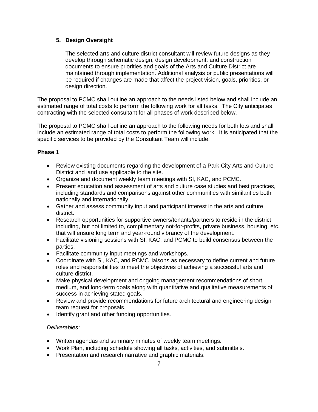## **5. Design Oversight**

The selected arts and culture district consultant will review future designs as they develop through schematic design, design development, and construction documents to ensure priorities and goals of the Arts and Culture District are maintained through implementation. Additional analysis or public presentations will be required if changes are made that affect the project vision, goals, priorities, or design direction.

The proposal to PCMC shall outline an approach to the needs listed below and shall include an estimated range of total costs to perform the following work for all tasks. The City anticipates contracting with the selected consultant for all phases of work described below.

The proposal to PCMC shall outline an approach to the following needs for both lots and shall include an estimated range of total costs to perform the following work. It is anticipated that the specific services to be provided by the Consultant Team will include:

#### **Phase 1**

- Review existing documents regarding the development of a Park City Arts and Culture District and land use applicable to the site.
- Organize and document weekly team meetings with SI, KAC, and PCMC.
- Present education and assessment of arts and culture case studies and best practices, including standards and comparisons against other communities with similarities both nationally and internationally.
- Gather and assess community input and participant interest in the arts and culture district.
- Research opportunities for supportive owners/tenants/partners to reside in the district including, but not limited to, complimentary not-for-profits, private business, housing, etc. that will ensure long term and year-round vibrancy of the development.
- Facilitate visioning sessions with SI, KAC, and PCMC to build consensus between the parties.
- Facilitate community input meetings and workshops.
- Coordinate with SI, KAC, and PCMC liaisons as necessary to define current and future roles and responsibilities to meet the objectives of achieving a successful arts and culture district.
- Make physical development and ongoing management recommendations of short, medium, and long-term goals along with quantitative and qualitative measurements of success in achieving stated goals.
- Review and provide recommendations for future architectural and engineering design team request for proposals.
- Identify grant and other funding opportunities.

#### *Deliverables:*

- Written agendas and summary minutes of weekly team meetings.
- Work Plan, including schedule showing all tasks, activities, and submittals.
- Presentation and research narrative and graphic materials.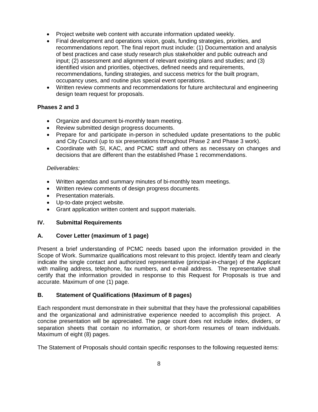- Project website web content with accurate information updated weekly.
- Final development and operations vision, goals, funding strategies, priorities, and recommendations report. The final report must include: (1) Documentation and analysis of best practices and case study research plus stakeholder and public outreach and input; (2) assessment and alignment of relevant existing plans and studies; and (3) identified vision and priorities, objectives, defined needs and requirements, recommendations, funding strategies, and success metrics for the built program, occupancy uses, and routine plus special event operations.
- Written review comments and recommendations for future architectural and engineering design team request for proposals.

## **Phases 2 and 3**

- Organize and document bi-monthly team meeting.
- Review submitted design progress documents.
- Prepare for and participate in-person in scheduled update presentations to the public and City Council (up to six presentations throughout Phase 2 and Phase 3 work).
- Coordinate with SI, KAC, and PCMC staff and others as necessary on changes and decisions that are different than the established Phase 1 recommendations.

#### *Deliverables:*

- Written agendas and summary minutes of bi-monthly team meetings.
- Written review comments of design progress documents.
- Presentation materials.
- Up-to-date project website.
- Grant application written content and support materials.

#### **IV. Submittal Requirements**

#### **A. Cover Letter (maximum of 1 page)**

Present a brief understanding of PCMC needs based upon the information provided in the Scope of Work. Summarize qualifications most relevant to this project. Identify team and clearly indicate the single contact and authorized representative (principal-in-charge) of the Applicant with mailing address, telephone, fax numbers, and e-mail address. The representative shall certify that the information provided in response to this Request for Proposals is true and accurate. Maximum of one (1) page.

#### **B. Statement of Qualifications (Maximum of 8 pages)**

Each respondent must demonstrate in their submittal that they have the professional capabilities and the organizational and administrative experience needed to accomplish this project. A concise presentation will be appreciated. The page count does not include index, dividers, or separation sheets that contain no information, or short-form resumes of team individuals. Maximum of eight (8) pages.

The Statement of Proposals should contain specific responses to the following requested items: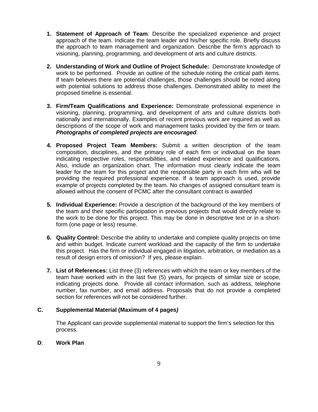- **1. Statement of Approach of Team***:* Describe the specialized experience and project approach of the team. Indicate the team leader and his/her specific role. Briefly discuss the approach to team management and organization. Describe the firm's approach to visioning, planning, programming, and development of arts and culture districts.
- **2. Understanding of Work and Outline of Project Schedule:** Demonstrate knowledge of work to be performed. Provide an outline of the schedule noting the critical path items. If team believes there are potential challenges, those challenges should be noted along with potential solutions to address those challenges. Demonstrated ability to meet the proposed timeline is essential.
- **3. Firm/Team Qualifications and Experience:** Demonstrate professional experience in visioning, planning, programming, and development of arts and culture districts both nationally and internationally. Examples of recent previous work are required as well as descriptions of the scope of work and management tasks provided by the firm or team. *Photographs of completed projects are encouraged.*
- **4. Proposed Project Team Members:** Submit a written description of the team composition, disciplines, and the primary role of each firm or individual on the team indicating respective roles, responsibilities, and related experience and qualifications. Also, include an organization chart. The information must clearly indicate the team leader for the team for this project and the responsible party in each firm who will be providing the required professional experience. If a team approach is used, provide example of projects completed by the team. No changes of assigned consultant team is allowed without the consent of PCMC after the consultant contract is awarded
- **5. Individual Experience:** Provide a description of the background of the key members of the team and their specific participation in previous projects that would directly relate to the work to be done for this project. This may be done in descriptive text or in a shortform (one page or less) resume.
- **6. Quality Control:** Describe the ability to undertake and complete quality projects on time and within budget. Indicate current workload and the capacity of the firm to undertake this project. Has the firm or individual engaged in litigation, arbitration, or mediation as a result of design errors of omission? If yes, please explain.
- **7. List of References:** List three (3) references with which the team or key members of the team have worked with in the last five (5) years, for projects of similar size or scope, indicating projects done. Provide all contact information, such as address, telephone number, fax number, and email address. Proposals that do not provide a completed section for references will not be considered further.

#### **C. Supplemental Material (Maximum of 4 pages***)*

The Applicant can provide supplemental material to support the firm's selection for this process.

#### **D**. **Work Plan**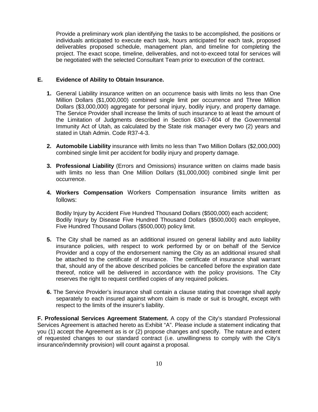Provide a preliminary work plan identifying the tasks to be accomplished, the positions or individuals anticipated to execute each task, hours anticipated for each task, proposed deliverables proposed schedule, management plan, and timeline for completing the project. The exact scope, timeline, deliverables, and not-to-exceed total for services will be negotiated with the selected Consultant Team prior to execution of the contract.

#### **E. Evidence of Ability to Obtain Insurance.**

- **1.** General Liability insurance written on an occurrence basis with limits no less than One Million Dollars (\$1,000,000) combined single limit per occurrence and Three Million Dollars (\$3,000,000) aggregate for personal injury, bodily injury, and property damage. The Service Provider shall increase the limits of such insurance to at least the amount of the Limitation of Judgments described in Section 63G-7-604 of the Governmental Immunity Act of Utah, as calculated by the State risk manager every two (2) years and stated in Utah Admin. Code R37-4-3.
- **2. Automobile Liability** insurance with limits no less than Two Million Dollars (\$2,000,000) combined single limit per accident for bodily injury and property damage.
- **3. Professional Liability** (Errors and Omissions) insurance written on claims made basis with limits no less than One Million Dollars (\$1,000,000) combined single limit per occurrence.
- **4. Workers Compensation** Workers Compensation insurance limits written as follows:

Bodily Injury by Accident Five Hundred Thousand Dollars (\$500,000) each accident; Bodily Injury by Disease Five Hundred Thousand Dollars (\$500,000) each employee, Five Hundred Thousand Dollars (\$500,000) policy limit.

- **5.** The City shall be named as an additional insured on general liability and auto liability insurance policies, with respect to work performed by or on behalf of the Service Provider and a copy of the endorsement naming the City as an additional insured shall be attached to the certificate of insurance. The certificate of insurance shall warrant that, should any of the above described policies be cancelled before the expiration date thereof, notice will be delivered in accordance with the policy provisions. The City reserves the right to request certified copies of any required policies.
- **6.** The Service Provider's insurance shall contain a clause stating that coverage shall apply separately to each insured against whom claim is made or suit is brought, except with respect to the limits of the insurer's liability.

**F. Professional Services Agreement Statement.** A copy of the City's standard Professional Services Agreement is attached hereto as Exhibit "A". Please include a statement indicating that you (1) accept the Agreement as is or (2) propose changes and specify. The nature and extent of requested changes to our standard contract (i.e. unwillingness to comply with the City's insurance/indemnity provision) will count against a proposal.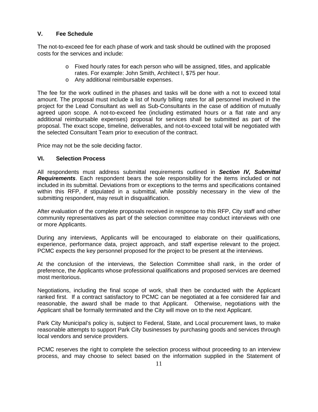#### **V. Fee Schedule**

The not-to-exceed fee for each phase of work and task should be outlined with the proposed costs for the services and include:

- o Fixed hourly rates for each person who will be assigned, titles, and applicable rates. For example: John Smith, Architect I, \$75 per hour.
- o Any additional reimbursable expenses.

The fee for the work outlined in the phases and tasks will be done with a not to exceed total amount. The proposal must include a list of hourly billing rates for all personnel involved in the project for the Lead Consultant as well as Sub-Consultants in the case of addition of mutually agreed upon scope. A not-to-exceed fee (including estimated hours or a flat rate and any additional reimbursable expenses) proposal for services shall be submitted as part of the proposal. The exact scope, timeline, deliverables, and not-to-exceed total will be negotiated with the selected Consultant Team prior to execution of the contract.

Price may not be the sole deciding factor.

#### **VI. Selection Process**

All respondents must address submittal requirements outlined in *Section IV, Submittal Requirements*. Each respondent bears the sole responsibility for the items included or not included in its submittal. Deviations from or exceptions to the terms and specifications contained within this RFP, if stipulated in a submittal, while possibly necessary in the view of the submitting respondent, may result in disqualification.

After evaluation of the complete proposals received in response to this RFP, City staff and other community representatives as part of the selection committee may conduct interviews with one or more Applicants.

During any interviews, Applicants will be encouraged to elaborate on their qualifications, experience, performance data, project approach, and staff expertise relevant to the project. PCMC expects the key personnel proposed for the project to be present at the interviews.

At the conclusion of the interviews, the Selection Committee shall rank, in the order of preference, the Applicants whose professional qualifications and proposed services are deemed most meritorious.

Negotiations, including the final scope of work, shall then be conducted with the Applicant ranked first. If a contract satisfactory to PCMC can be negotiated at a fee considered fair and reasonable, the award shall be made to that Applicant. Otherwise, negotiations with the Applicant shall be formally terminated and the City will move on to the next Applicant.

Park City Municipal's policy is, subject to Federal, State, and Local procurement laws, to make reasonable attempts to support Park City businesses by purchasing goods and services through local vendors and service providers.

PCMC reserves the right to complete the selection process without proceeding to an interview process, and may choose to select based on the information supplied in the Statement of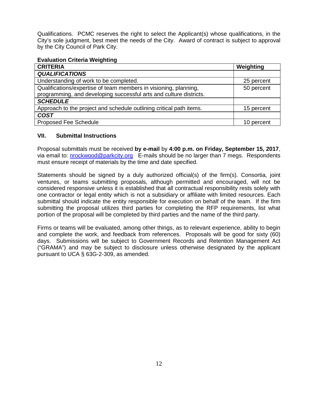Qualifications. PCMC reserves the right to select the Applicant(s) whose qualifications, in the City's sole judgment, best meet the needs of the City. Award of contract is subject to approval by the City Council of Park City.

#### **Evaluation Criteria Weighting**

| <b>CRITERIA</b>                                                     | Weighting  |
|---------------------------------------------------------------------|------------|
| <b>QUALIFICATIONS</b>                                               |            |
| Understanding of work to be completed.                              | 25 percent |
| Qualifications/expertise of team members in visioning, planning,    | 50 percent |
| programming, and developing successful arts and culture districts.  |            |
| <b>SCHEDULE</b>                                                     |            |
| Approach to the project and schedule outlining critical path items. | 15 percent |
| <b>COST</b>                                                         |            |
| <b>Proposed Fee Schedule</b>                                        | 10 percent |

#### **VII. Submittal Instructions**

Proposal submittals must be received **by e-mail** by **4:00 p.m. on Friday, September 15, 2017**, via email to: [nrockwood@parkcity.org](mailto:nrockwood@parkcity.org) E-mails should be no larger than 7 megs. Respondents must ensure receipt of materials by the time and date specified.

Statements should be signed by a duly authorized official(s) of the firm(s). Consortia, joint ventures, or teams submitting proposals, although permitted and encouraged, will not be considered responsive unless it is established that all contractual responsibility rests solely with one contractor or legal entity which is not a subsidiary or affiliate with limited resources. Each submittal should indicate the entity responsible for execution on behalf of the team. If the firm submitting the proposal utilizes third parties for completing the RFP requirements, list what portion of the proposal will be completed by third parties and the name of the third party.

Firms or teams will be evaluated, among other things, as to relevant experience, ability to begin and complete the work, and feedback from references. Proposals will be good for sixty (60) days. Submissions will be subject to Government Records and Retention Management Act ("GRAMA") and may be subject to disclosure unless otherwise designated by the applicant pursuant to UCA § 63G-2-309, as amended.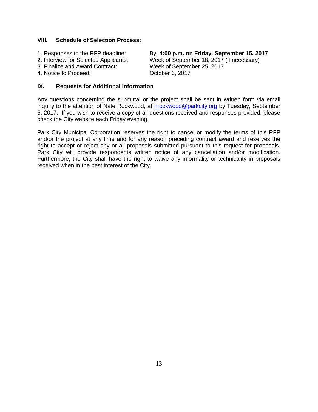#### **VIII. Schedule of Selection Process:**

- 
- 
- 
- 4. Notice to Proceed: Case Correction Correction Correction October 6, 2017

1. Responses to the RFP deadline: By: **4:00 p.m. on Friday, September 15, 2017** 2. Interview for Selected Applicants: Week of September 18, 2017 (if necessary)<br>3. Finalize and Award Contract: Week of September 25, 2017 Week of September 25, 2017

#### **IX. Requests for Additional Information**

Any questions concerning the submittal or the project shall be sent in written form via email inquiry to the attention of Nate Rockwood, at [nrockwood@parkcity.org](mailto:nrockwood@parkcity.org) by Tuesday, September 5, 2017. If you wish to receive a copy of all questions received and responses provided, please check the City website each Friday evening.

Park City Municipal Corporation reserves the right to cancel or modify the terms of this RFP and/or the project at any time and for any reason preceding contract award and reserves the right to accept or reject any or all proposals submitted pursuant to this request for proposals. Park City will provide respondents written notice of any cancellation and/or modification. Furthermore, the City shall have the right to waive any informality or technicality in proposals received when in the best interest of the City.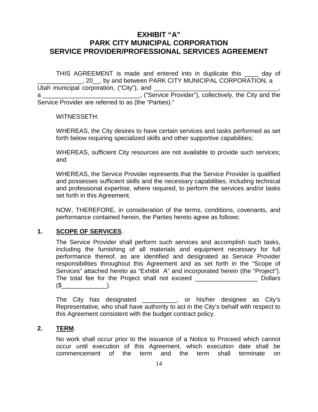## **EXHIBIT "A" PARK CITY MUNICIPAL CORPORATION SERVICE PROVIDER/PROFESSIONAL SERVICES AGREEMENT**

THIS AGREEMENT is made and entered into in duplicate this \_\_\_\_ day of \_\_\_\_\_\_\_\_\_\_\_\_\_, 20\_\_, by and between PARK CITY MUNICIPAL CORPORATION, a Utah municipal corporation, ("City"), and \_ a **a** a contribution of the City and the service Provider"), collectively, the City and the Service Provider are referred to as (the "Parties)."

#### WITNESSETH:

WHEREAS, the City desires to have certain services and tasks performed as set forth below requiring specialized skills and other supportive capabilities;

WHEREAS, sufficient City resources are not available to provide such services; and

WHEREAS, the Service Provider represents that the Service Provider is qualified and possesses sufficient skills and the necessary capabilities, including technical and professional expertise, where required, to perform the services and/or tasks set forth in this Agreement.

NOW, THEREFORE, in consideration of the terms, conditions, covenants, and performance contained herein, the Parties hereto agree as follows:

## **1. SCOPE OF SERVICES**.

| The Service Provider shall perform such services and accomplish such tasks,       |                |
|-----------------------------------------------------------------------------------|----------------|
| including the furnishing of all materials and equipment necessary for full        |                |
| performance thereof, as are identified and designated as Service Provider         |                |
| responsibilities throughout this Agreement and as set forth in the "Scope of      |                |
| Services" attached hereto as "Exhibit A" and incorporated herein (the "Project"). |                |
| The total fee for the Project shall not exceed                                    | <b>Dollars</b> |
|                                                                                   |                |

The City has designated \_\_\_\_\_\_\_\_\_\_, or his/her designee as City's Representative, who shall have authority to act in the City's behalf with respect to this Agreement consistent with the budget contract policy.

#### **2. TERM**.

No work shall occur prior to the issuance of a Notice to Proceed which cannot occur until execution of this Agreement, which execution date shall be commencement of the term and the term shall terminate on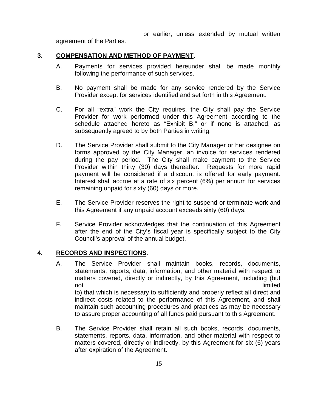\_\_\_\_\_\_\_\_\_\_\_\_\_\_\_\_\_\_\_\_\_\_\_\_ or earlier, unless extended by mutual written

agreement of the Parties.

## **3. COMPENSATION AND METHOD OF PAYMENT**.

- A. Payments for services provided hereunder shall be made monthly following the performance of such services.
- B. No payment shall be made for any service rendered by the Service Provider except for services identified and set forth in this Agreement.
- C. For all "extra" work the City requires, the City shall pay the Service Provider for work performed under this Agreement according to the schedule attached hereto as "Exhibit B," or if none is attached, as subsequently agreed to by both Parties in writing.
- D. The Service Provider shall submit to the City Manager or her designee on forms approved by the City Manager, an invoice for services rendered during the pay period. The City shall make payment to the Service Provider within thirty (30) days thereafter. Requests for more rapid payment will be considered if a discount is offered for early payment. Interest shall accrue at a rate of six percent (6%) per annum for services remaining unpaid for sixty (60) days or more.
- E. The Service Provider reserves the right to suspend or terminate work and this Agreement if any unpaid account exceeds sixty (60) days.
- F. Service Provider acknowledges that the continuation of this Agreement after the end of the City's fiscal year is specifically subject to the City Council's approval of the annual budget.

## **4. RECORDS AND INSPECTIONS**.

- A. The Service Provider shall maintain books, records, documents, statements, reports, data, information, and other material with respect to matters covered, directly or indirectly, by this Agreement, including (but not and the contract of the contract of the contract of the contract of the limited limited to) that which is necessary to sufficiently and properly reflect all direct and indirect costs related to the performance of this Agreement, and shall maintain such accounting procedures and practices as may be necessary to assure proper accounting of all funds paid pursuant to this Agreement.
- B. The Service Provider shall retain all such books, records, documents, statements, reports, data, information, and other material with respect to matters covered, directly or indirectly, by this Agreement for six (6) years after expiration of the Agreement.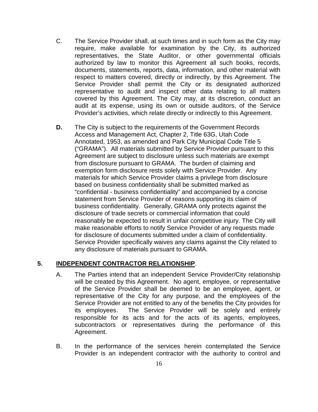- C. The Service Provider shall, at such times and in such form as the City may require, make available for examination by the City, its authorized representatives, the State Auditor, or other governmental officials authorized by law to monitor this Agreement all such books, records, documents, statements, reports, data, information, and other material with respect to matters covered, directly or indirectly, by this Agreement. The Service Provider shall permit the City or its designated authorized representative to audit and inspect other data relating to all matters covered by this Agreement. The City may, at its discretion, conduct an audit at its expense, using its own or outside auditors, of the Service Provider's activities, which relate directly or indirectly to this Agreement.
- **D.** The City is subject to the requirements of the Government Records Access and Management Act, Chapter 2, Title 63G, Utah Code Annotated, 1953, as amended and Park City Municipal Code Title 5 ("GRAMA"). All materials submitted by Service Provider pursuant to this Agreement are subject to disclosure unless such materials are exempt from disclosure pursuant to GRAMA. The burden of claiming and exemption form disclosure rests solely with Service Provider. Any materials for which Service Provider claims a privilege from disclosure based on business confidentiality shall be submitted marked as "confidential - business confidentiality" and accompanied by a concise statement from Service Provider of reasons supporting its claim of business confidentiality. Generally, GRAMA only protects against the disclosure of trade secrets or commercial information that could reasonably be expected to result in unfair competitive injury. The City will make reasonable efforts to notify Service Provider of any requests made for disclosure of documents submitted under a claim of confidentiality. Service Provider specifically waives any claims against the City related to any disclosure of materials pursuant to GRAMA.

## **5. INDEPENDENT CONTRACTOR RELATIONSHIP**.

- A. The Parties intend that an independent Service Provider/City relationship will be created by this Agreement. No agent, employee, or representative of the Service Provider shall be deemed to be an employee, agent, or representative of the City for any purpose, and the employees of the Service Provider are not entitled to any of the benefits the City provides for its employees. The Service Provider will be solely and entirely responsible for its acts and for the acts of its agents, employees, subcontractors or representatives during the performance of this Agreement.
- B. In the performance of the services herein contemplated the Service Provider is an independent contractor with the authority to control and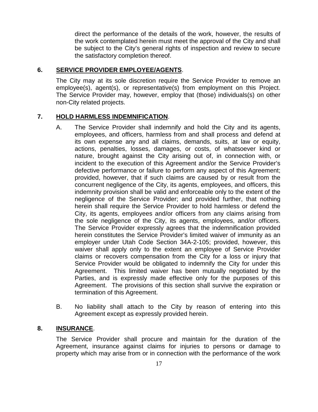direct the performance of the details of the work, however, the results of the work contemplated herein must meet the approval of the City and shall be subject to the City's general rights of inspection and review to secure the satisfactory completion thereof.

## **6. SERVICE PROVIDER EMPLOYEE/AGENTS**.

The City may at its sole discretion require the Service Provider to remove an employee(s), agent(s), or representative(s) from employment on this Project. The Service Provider may, however, employ that (those) individuals(s) on other non-City related projects.

## **7. HOLD HARMLESS INDEMNIFICATION**.

- A. The Service Provider shall indemnify and hold the City and its agents, employees, and officers, harmless from and shall process and defend at its own expense any and all claims, demands, suits, at law or equity, actions, penalties, losses, damages, or costs, of whatsoever kind or nature, brought against the City arising out of, in connection with, or incident to the execution of this Agreement and/or the Service Provider's defective performance or failure to perform any aspect of this Agreement; provided, however, that if such claims are caused by or result from the concurrent negligence of the City, its agents, employees, and officers, this indemnity provision shall be valid and enforceable only to the extent of the negligence of the Service Provider; and provided further, that nothing herein shall require the Service Provider to hold harmless or defend the City, its agents, employees and/or officers from any claims arising from the sole negligence of the City, its agents, employees, and/or officers. The Service Provider expressly agrees that the indemnification provided herein constitutes the Service Provider's limited waiver of immunity as an employer under Utah Code Section 34A-2-105; provided, however, this waiver shall apply only to the extent an employee of Service Provider claims or recovers compensation from the City for a loss or injury that Service Provider would be obligated to indemnify the City for under this Agreement. This limited waiver has been mutually negotiated by the Parties, and is expressly made effective only for the purposes of this Agreement. The provisions of this section shall survive the expiration or termination of this Agreement.
- B. No liability shall attach to the City by reason of entering into this Agreement except as expressly provided herein.

## **8. INSURANCE**.

The Service Provider shall procure and maintain for the duration of the Agreement, insurance against claims for injuries to persons or damage to property which may arise from or in connection with the performance of the work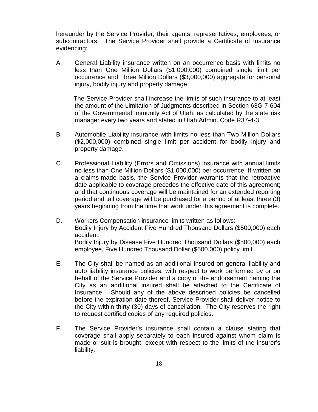hereunder by the Service Provider, their agents, representatives, employees, or subcontractors. The Service Provider shall provide a Certificate of Insurance evidencing:

A. General Liability insurance written on an occurrence basis with limits no less than One Million Dollars (\$1,000,000) combined single limit per occurrence and Three Million Dollars (\$3,000,000) aggregate for personal injury, bodily injury and property damage.

 The Service Provider shall increase the limits of such insurance to at least the amount of the Limitation of Judgments described in Section 63G-7-604 of the Governmental Immunity Act of Utah, as calculated by the state risk manager every two years and stated in Utah Admin. Code R37-4-3.

- B. Automobile Liability insurance with limits no less than Two Million Dollars (\$2,000,000) combined single limit per accident for bodily injury and property damage.
- C. Professional Liability (Errors and Omissions) insurance with annual limits no less than One Million Dollars (\$1,000,000) per occurrence. If written on a claims-made basis, the Service Provider warrants that the retroactive date applicable to coverage precedes the effective date of this agreement; and that continuous coverage will be maintained for an extended reporting period and tail coverage will be purchased for a period of at least three (3) years beginning from the time that work under this agreement is complete.
- D. Workers Compensation insurance limits written as follows: Bodily Injury by Accident Five Hundred Thousand Dollars (\$500,000) each accident; Bodily Injury by Disease Five Hundred Thousand Dollars (\$500,000) each employee, Five Hundred Thousand Dollar (\$500,000) policy limit.
- E. The City shall be named as an additional insured on general liability and auto liability insurance policies, with respect to work performed by or on behalf of the Service Provider and a copy of the endorsement naming the City as an additional insured shall be attached to the Certificate of Insurance. Should any of the above described policies be cancelled before the expiration date thereof, Service Provider shall deliver notice to the City within thirty (30) days of cancellation. The City reserves the right to request certified copies of any required policies.
- F. The Service Provider's insurance shall contain a clause stating that coverage shall apply separately to each insured against whom claim is made or suit is brought, except with respect to the limits of the insurer's liability.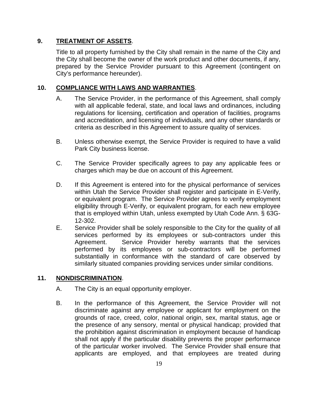## **9. TREATMENT OF ASSETS**.

Title to all property furnished by the City shall remain in the name of the City and the City shall become the owner of the work product and other documents, if any, prepared by the Service Provider pursuant to this Agreement (contingent on City's performance hereunder).

## **10. COMPLIANCE WITH LAWS AND WARRANTIES**.

- A. The Service Provider, in the performance of this Agreement, shall comply with all applicable federal, state, and local laws and ordinances, including regulations for licensing, certification and operation of facilities, programs and accreditation, and licensing of individuals, and any other standards or criteria as described in this Agreement to assure quality of services.
- B. Unless otherwise exempt, the Service Provider is required to have a valid Park City business license.
- C. The Service Provider specifically agrees to pay any applicable fees or charges which may be due on account of this Agreement.
- D. If this Agreement is entered into for the physical performance of services within Utah the Service Provider shall register and participate in E-Verify, or equivalent program. The Service Provider agrees to verify employment eligibility through E-Verify, or equivalent program, for each new employee that is employed within Utah, unless exempted by Utah Code Ann. § 63G-12-302.
- E. Service Provider shall be solely responsible to the City for the quality of all services performed by its employees or sub-contractors under this Agreement. Service Provider hereby warrants that the services performed by its employees or sub-contractors will be performed substantially in conformance with the standard of care observed by similarly situated companies providing services under similar conditions.

## **11. NONDISCRIMINATION**.

- A. The City is an equal opportunity employer.
- B. In the performance of this Agreement, the Service Provider will not discriminate against any employee or applicant for employment on the grounds of race, creed, color, national origin, sex, marital status, age or the presence of any sensory, mental or physical handicap; provided that the prohibition against discrimination in employment because of handicap shall not apply if the particular disability prevents the proper performance of the particular worker involved. The Service Provider shall ensure that applicants are employed, and that employees are treated during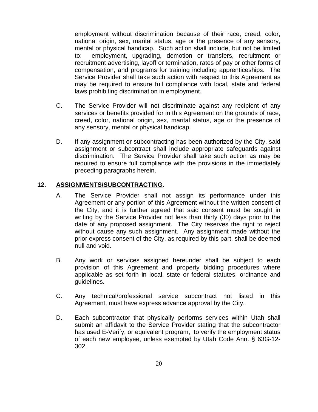employment without discrimination because of their race, creed, color, national origin, sex, marital status, age or the presence of any sensory, mental or physical handicap. Such action shall include, but not be limited to: employment, upgrading, demotion or transfers, recruitment or recruitment advertising, layoff or termination, rates of pay or other forms of compensation, and programs for training including apprenticeships. The Service Provider shall take such action with respect to this Agreement as may be required to ensure full compliance with local, state and federal laws prohibiting discrimination in employment.

- C. The Service Provider will not discriminate against any recipient of any services or benefits provided for in this Agreement on the grounds of race, creed, color, national origin, sex, marital status, age or the presence of any sensory, mental or physical handicap.
- D. If any assignment or subcontracting has been authorized by the City, said assignment or subcontract shall include appropriate safeguards against discrimination. The Service Provider shall take such action as may be required to ensure full compliance with the provisions in the immediately preceding paragraphs herein.

## **12. ASSIGNMENTS/SUBCONTRACTING**.

- A. The Service Provider shall not assign its performance under this Agreement or any portion of this Agreement without the written consent of the City, and it is further agreed that said consent must be sought in writing by the Service Provider not less than thirty (30) days prior to the date of any proposed assignment. The City reserves the right to reject without cause any such assignment. Any assignment made without the prior express consent of the City, as required by this part, shall be deemed null and void.
- B. Any work or services assigned hereunder shall be subject to each provision of this Agreement and property bidding procedures where applicable as set forth in local, state or federal statutes, ordinance and guidelines.
- C. Any technical/professional service subcontract not listed in this Agreement, must have express advance approval by the City.
- D. Each subcontractor that physically performs services within Utah shall submit an affidavit to the Service Provider stating that the subcontractor has used E-Verify, or equivalent program, to verify the employment status of each new employee, unless exempted by Utah Code Ann. § 63G-12- 302.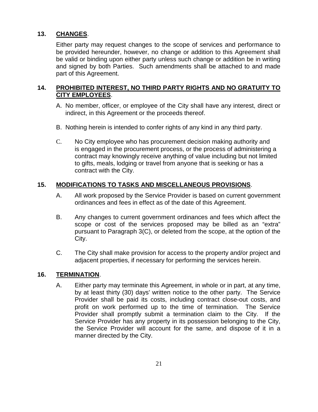## **13. CHANGES**.

Either party may request changes to the scope of services and performance to be provided hereunder, however, no change or addition to this Agreement shall be valid or binding upon either party unless such change or addition be in writing and signed by both Parties. Such amendments shall be attached to and made part of this Agreement.

## **14. PROHIBITED INTEREST, NO THIRD PARTY RIGHTS AND NO GRATUITY TO CITY EMPLOYEES**.

- A. No member, officer, or employee of the City shall have any interest, direct or indirect, in this Agreement or the proceeds thereof.
- B. Nothing herein is intended to confer rights of any kind in any third party.
- C. No City employee who has procurement decision making authority and is engaged in the procurement process, or the process of administering a contract may knowingly receive anything of value including but not limited to gifts, meals, lodging or travel from anyone that is seeking or has a contract with the City.

## **15. MODIFICATIONS TO TASKS AND MISCELLANEOUS PROVISIONS**.

- A. All work proposed by the Service Provider is based on current government ordinances and fees in effect as of the date of this Agreement.
- B. Any changes to current government ordinances and fees which affect the scope or cost of the services proposed may be billed as an "extra" pursuant to Paragraph 3(C), or deleted from the scope, at the option of the City.
- C. The City shall make provision for access to the property and/or project and adjacent properties, if necessary for performing the services herein.

## **16. TERMINATION**.

A. Either party may terminate this Agreement, in whole or in part, at any time, by at least thirty (30) days' written notice to the other party. The Service Provider shall be paid its costs, including contract close-out costs, and profit on work performed up to the time of termination. The Service Provider shall promptly submit a termination claim to the City. If the Service Provider has any property in its possession belonging to the City, the Service Provider will account for the same, and dispose of it in a manner directed by the City.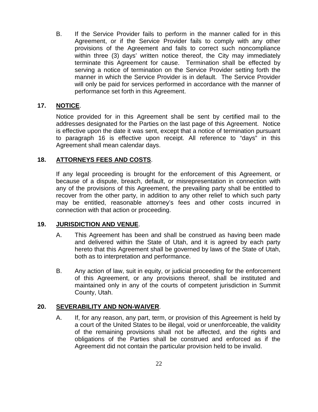B. If the Service Provider fails to perform in the manner called for in this Agreement, or if the Service Provider fails to comply with any other provisions of the Agreement and fails to correct such noncompliance within three (3) days' written notice thereof, the City may immediately terminate this Agreement for cause. Termination shall be effected by serving a notice of termination on the Service Provider setting forth the manner in which the Service Provider is in default. The Service Provider will only be paid for services performed in accordance with the manner of performance set forth in this Agreement.

## **17. NOTICE**.

Notice provided for in this Agreement shall be sent by certified mail to the addresses designated for the Parties on the last page of this Agreement. Notice is effective upon the date it was sent, except that a notice of termination pursuant to paragraph 16 is effective upon receipt. All reference to "days" in this Agreement shall mean calendar days.

## **18. ATTORNEYS FEES AND COSTS**.

If any legal proceeding is brought for the enforcement of this Agreement, or because of a dispute, breach, default, or misrepresentation in connection with any of the provisions of this Agreement, the prevailing party shall be entitled to recover from the other party, in addition to any other relief to which such party may be entitled, reasonable attorney's fees and other costs incurred in connection with that action or proceeding.

## **19. JURISDICTION AND VENUE**.

- A. This Agreement has been and shall be construed as having been made and delivered within the State of Utah, and it is agreed by each party hereto that this Agreement shall be governed by laws of the State of Utah, both as to interpretation and performance.
- B. Any action of law, suit in equity, or judicial proceeding for the enforcement of this Agreement, or any provisions thereof, shall be instituted and maintained only in any of the courts of competent jurisdiction in Summit County, Utah.

## **20. SEVERABILITY AND NON-WAIVER**.

A. If, for any reason, any part, term, or provision of this Agreement is held by a court of the United States to be illegal, void or unenforceable, the validity of the remaining provisions shall not be affected, and the rights and obligations of the Parties shall be construed and enforced as if the Agreement did not contain the particular provision held to be invalid.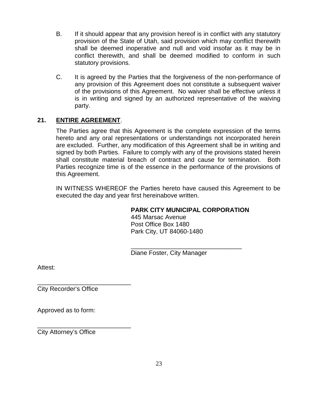- B. If it should appear that any provision hereof is in conflict with any statutory provision of the State of Utah, said provision which may conflict therewith shall be deemed inoperative and null and void insofar as it may be in conflict therewith, and shall be deemed modified to conform in such statutory provisions.
- C. It is agreed by the Parties that the forgiveness of the non-performance of any provision of this Agreement does not constitute a subsequent waiver of the provisions of this Agreement. No waiver shall be effective unless it is in writing and signed by an authorized representative of the waiving party.

## **21. ENTIRE AGREEMENT**.

The Parties agree that this Agreement is the complete expression of the terms hereto and any oral representations or understandings not incorporated herein are excluded. Further, any modification of this Agreement shall be in writing and signed by both Parties. Failure to comply with any of the provisions stated herein shall constitute material breach of contract and cause for termination. Both Parties recognize time is of the essence in the performance of the provisions of this Agreement.

IN WITNESS WHEREOF the Parties hereto have caused this Agreement to be executed the day and year first hereinabove written.

## **PARK CITY MUNICIPAL CORPORATION**

445 Marsac Avenue Post Office Box 1480 Park City, UT 84060-1480

\_\_\_\_\_\_\_\_\_\_\_\_\_\_\_\_\_\_\_\_\_\_\_\_\_\_\_\_\_\_\_\_ Diane Foster, City Manager

Attest:

\_\_\_\_\_\_\_\_\_\_\_\_\_\_\_\_\_\_\_\_\_\_\_\_\_\_\_ City Recorder's Office

Approved as to form:

\_\_\_\_\_\_\_\_\_\_\_\_\_\_\_\_\_\_\_\_\_\_\_\_\_\_\_ City Attorney's Office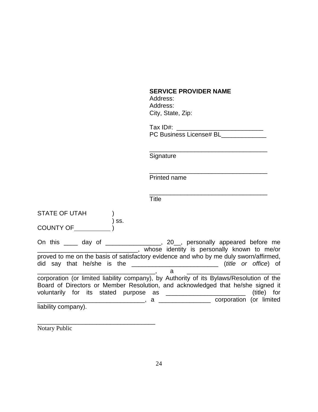## **SERVICE PROVIDER NAME**

 Address: Address: City, State, Zip:

Tax ID#: \_\_\_\_\_\_\_\_\_\_\_\_\_\_\_\_\_\_\_\_\_\_\_\_\_ PC Business License# BL\_\_\_\_\_\_\_\_\_\_\_\_\_

\_\_\_\_\_\_\_\_\_\_\_\_\_\_\_\_\_\_\_\_\_\_\_\_\_\_\_\_\_\_\_\_\_\_

**Signature** 

\_\_\_\_\_\_\_\_\_\_\_\_\_\_\_\_\_\_\_\_\_\_\_\_\_\_\_\_\_\_\_\_\_\_ Printed name

\_\_\_\_\_\_\_\_\_\_\_\_\_\_\_\_\_\_\_\_\_\_\_\_\_\_\_\_\_\_\_\_\_\_ **Title** 

| <b>STATE OF UTAH</b> |     |                                                                                                                                                                             |                              |
|----------------------|-----|-----------------------------------------------------------------------------------------------------------------------------------------------------------------------------|------------------------------|
| <b>COUNTY OF</b>     | SS. |                                                                                                                                                                             |                              |
|                      |     | On this _____ day of _________________, 20__, personally appeared before me<br>____, whose identity is personally known to me/or                                            |                              |
|                      |     | proved to me on the basis of satisfactory evidence and who by me duly sworn/affirmed,                                                                                       | ( <i>title</i> or office) of |
|                      |     | a                                                                                                                                                                           |                              |
|                      |     | corporation (or limited liability company), by Authority of its Bylaws/Resolution of the<br>Board of Directors or Member Resolution, and acknowledged that he/she signed it |                              |
|                      |     | voluntarily for its stated purpose as _______________________                                                                                                               | (title) for                  |
|                      |     | a corporation (or limited                                                                                                                                                   |                              |
| liability company).  |     |                                                                                                                                                                             |                              |

Notary Public

\_\_\_\_\_\_\_\_\_\_\_\_\_\_\_\_\_\_\_\_\_\_\_\_\_\_\_\_\_\_\_\_\_\_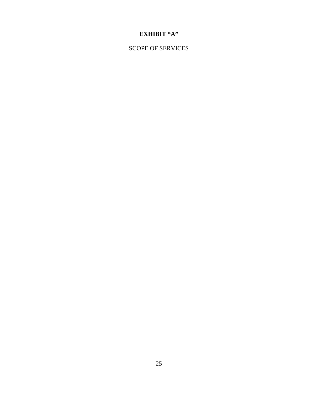## **EXHIBIT "A"**

## SCOPE OF SERVICES